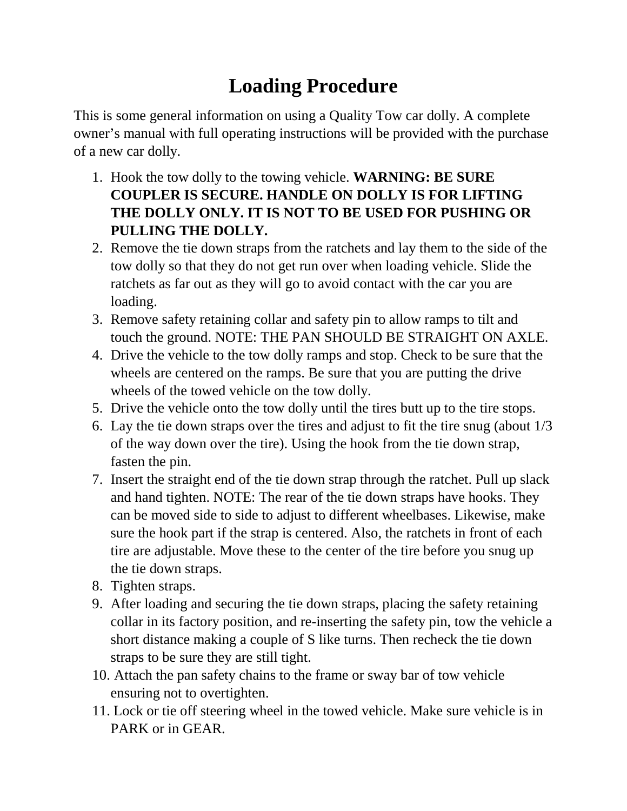## **Loading Procedure**

This is some general information on using a Quality Tow car dolly. A complete owner's manual with full operating instructions will be provided with the purchase of a new car dolly.

- 1. Hook the tow dolly to the towing vehicle. **WARNING: BE SURE COUPLER IS SECURE. HANDLE ON DOLLY IS FOR LIFTING THE DOLLY ONLY. IT IS NOT TO BE USED FOR PUSHING OR PULLING THE DOLLY.**
- 2. Remove the tie down straps from the ratchets and lay them to the side of the tow dolly so that they do not get run over when loading vehicle. Slide the ratchets as far out as they will go to avoid contact with the car you are loading.
- 3. Remove safety retaining collar and safety pin to allow ramps to tilt and touch the ground. NOTE: THE PAN SHOULD BE STRAIGHT ON AXLE.
- 4. Drive the vehicle to the tow dolly ramps and stop. Check to be sure that the wheels are centered on the ramps. Be sure that you are putting the drive wheels of the towed vehicle on the tow dolly.
- 5. Drive the vehicle onto the tow dolly until the tires butt up to the tire stops.
- 6. Lay the tie down straps over the tires and adjust to fit the tire snug (about 1/3 of the way down over the tire). Using the hook from the tie down strap, fasten the pin.
- 7. Insert the straight end of the tie down strap through the ratchet. Pull up slack and hand tighten. NOTE: The rear of the tie down straps have hooks. They can be moved side to side to adjust to different wheelbases. Likewise, make sure the hook part if the strap is centered. Also, the ratchets in front of each tire are adjustable. Move these to the center of the tire before you snug up the tie down straps.
- 8. Tighten straps.
- 9. After loading and securing the tie down straps, placing the safety retaining collar in its factory position, and re-inserting the safety pin, tow the vehicle a short distance making a couple of S like turns. Then recheck the tie down straps to be sure they are still tight.
- 10. Attach the pan safety chains to the frame or sway bar of tow vehicle ensuring not to overtighten.
- 11. Lock or tie off steering wheel in the towed vehicle. Make sure vehicle is in PARK or in GEAR.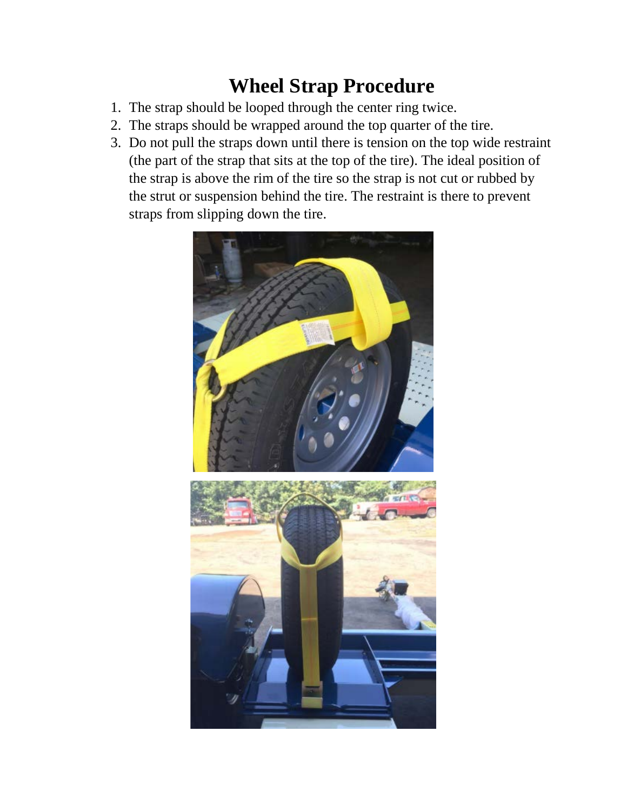## **Wheel Strap Procedure**

- 1. The strap should be looped through the center ring twice.
- 2. The straps should be wrapped around the top quarter of the tire.
- 3. Do not pull the straps down until there is tension on the top wide restraint (the part of the strap that sits at the top of the tire). The ideal position of the strap is above the rim of the tire so the strap is not cut or rubbed by the strut or suspension behind the tire. The restraint is there to prevent straps from slipping down the tire.